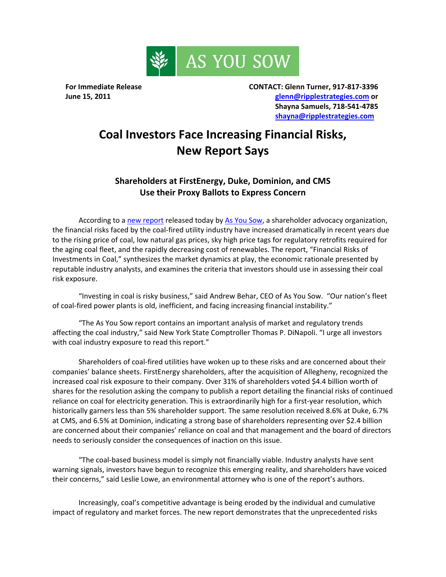

**For Immediate Release CONTACT: Glenn Turner, 917‐817‐3396 June 15, 2011 glenn@ripplestrategies.com or Shayna Samuels, 718‐541‐4785 shayna@ripplestrategies.com** 

## **Coal Investors Face Increasing Financial Risks, New Report Says**

## **Shareholders at FirstEnergy, Duke, Dominion, and CMS Use their Proxy Ballots to Express Concern**

According to a new [report](http://bit.ly/coalWP2011) released today by As You [Sow,](www.asyousow.org) a shareholder advocacy organization, the financial risks faced by the coal‐fired utility industry have increased dramatically in recent years due to the rising price of coal, low natural gas prices, sky high price tags for regulatory retrofits required for the aging coal fleet, and the rapidly decreasing cost of renewables. The report, "Financial Risks of Investments in Coal," synthesizes the market dynamics at play, the economic rationale presented by reputable industry analysts, and examines the criteria that investors should use in assessing their coal risk exposure.

"Investing in coal is risky business," said Andrew Behar, CEO of As You Sow. "Our nation's fleet of coal-fired power plants is old, inefficient, and facing increasing financial instability."

"The As You Sow report contains an important analysis of market and regulatory trends affecting the coal industry," said New York State Comptroller Thomas P. DiNapoli. "I urge all investors with coal industry exposure to read this report."

Shareholders of coal-fired utilities have woken up to these risks and are concerned about their companies' balance sheets. FirstEnergy shareholders, after the acquisition of Allegheny, recognized the increased coal risk exposure to their company. Over 31% of shareholders voted \$4.4 billion worth of shares for the resolution asking the company to publish a report detailing the financial risks of continued reliance on coal for electricity generation. This is extraordinarily high for a first-year resolution, which historically garners less than 5% shareholder support. The same resolution received 8.6% at Duke, 6.7% at CMS, and 6.5% at Dominion, indicating a strong base of shareholders representing over \$2.4 billion are concerned about their companies' reliance on coal and that management and the board of directors needs to seriously consider the consequences of inaction on this issue.

"The coal‐based business model is simply not financially viable. Industry analysts have sent warning signals, investors have begun to recognize this emerging reality, and shareholders have voiced their concerns," said Leslie Lowe, an environmental attorney who is one of the report's authors.

Increasingly, coal's competitive advantage is being eroded by the individual and cumulative impact of regulatory and market forces. The new report demonstrates that the unprecedented risks